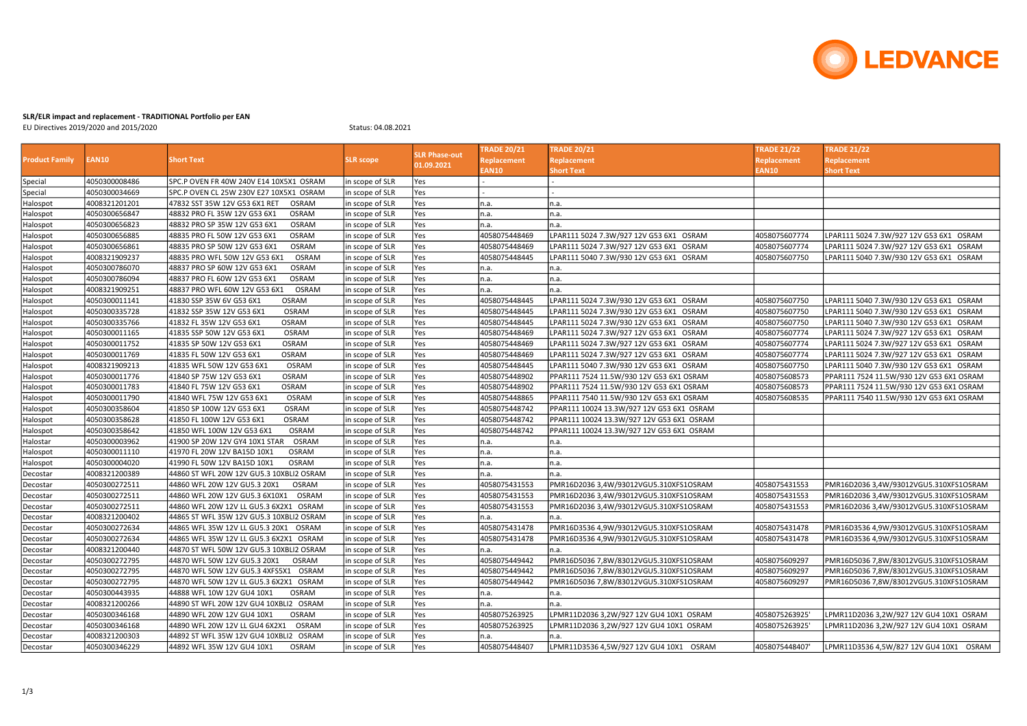

## SLR/ELR impact and replacement - TRADITIONAL Portfolio per EAN

EU Directives 2019/2020 and 2015/2020 Status: 04.08.2021

| <b>Product Family</b> | <b>EAN10</b>  | <b>Short Text</b>                             | <b>SLR</b> scope | <b>SLR Phase-out</b><br>01.09.2021 | <b>TRADE 20/21</b> | <b>TRADE 20/21</b>                        | <b>TRADE 21/22</b> | <b>TRADE 21/22</b>                       |
|-----------------------|---------------|-----------------------------------------------|------------------|------------------------------------|--------------------|-------------------------------------------|--------------------|------------------------------------------|
|                       |               |                                               |                  |                                    | <b>Replacement</b> | <b>Replacement</b>                        | <b>Replacement</b> | Replacement                              |
|                       |               |                                               |                  |                                    | <b>AN10</b>        | Short Text                                | <b>AN10</b>        | Short Text                               |
| Special               | 4050300008486 | SPC.P OVEN FR 40W 240V E14 10X5X1 OSRAM       | in scope of SLR  | Yes                                |                    |                                           |                    |                                          |
| Special               | 4050300034669 | SPC.P OVEN CL 25W 230V E27 10X5X1 OSRAM       | in scope of SLR  | Yes                                |                    |                                           |                    |                                          |
| Halospot              | 4008321201201 | 47832 SST 35W 12V G53 6X1 RET<br><b>OSRAM</b> | in scope of SLR  | Yes                                | n.a.               | n.a.                                      |                    |                                          |
| Halospot              | 4050300656847 | 48832 PRO FL 35W 12V G53 6X1<br><b>OSRAM</b>  | in scope of SLR  | Yes                                | n.a.               | n.a.                                      |                    |                                          |
| Halospot              | 4050300656823 | 48832 PRO SP 35W 12V G53 6X1<br><b>OSRAM</b>  | in scope of SLR  | Yes                                | n.a.               | n.a.                                      |                    |                                          |
| Halospot              | 4050300656885 | 48835 PRO FL 50W 12V G53 6X1<br><b>OSRAM</b>  | in scope of SLR  | Yes                                | 4058075448469      | LPAR111 5024 7.3W/927 12V G53 6X1 OSRAM   | 4058075607774      | LPAR111 5024 7.3W/927 12V G53 6X1 OSRAM  |
| Halospot              | 4050300656861 | 48835 PRO SP 50W 12V G53 6X1<br><b>OSRAM</b>  | in scope of SLR  | Yes                                | 4058075448469      | LPAR111 5024 7.3W/927 12V G53 6X1 OSRAM   | 4058075607774      | LPAR111 5024 7.3W/927 12V G53 6X1 OSRAM  |
| Halospot              | 4008321909237 | 48835 PRO WFL 50W 12V G53 6X1<br>OSRAM        | in scope of SLR  | Yes                                | 4058075448445      | LPAR111 5040 7.3W/930 12V G53 6X1 OSRAM   | 4058075607750      | LPAR111 5040 7.3W/930 12V G53 6X1 OSRAM  |
| Halospot              | 4050300786070 | 48837 PRO SP 60W 12V G53 6X1<br><b>OSRAM</b>  | in scope of SLR  | Yes                                | n.a.               | n.a.                                      |                    |                                          |
| Halospot              | 4050300786094 | 48837 PRO FL 60W 12V G53 6X1<br>OSRAM         | in scope of SLR  | Yes                                | n.a.               | n.a.                                      |                    |                                          |
| Halospot              | 4008321909251 | 48837 PRO WFL 60W 12V G53 6X1<br>OSRAM        | in scope of SLR  | Yes                                | n.a.               | n.a.                                      |                    |                                          |
| Halospot              | 4050300011141 | 41830 SSP 35W 6V G53 6X1<br><b>OSRAM</b>      | in scope of SLR  | Yes                                | 4058075448445      | LPAR111 5024 7.3W/930 12V G53 6X1 OSRAM   | 4058075607750      | LPAR111 5040 7.3W/930 12V G53 6X1 OSRAM  |
| Halospot              | 4050300335728 | 41832 SSP 35W 12V G53 6X1<br><b>OSRAM</b>     | in scope of SLR  | Yes                                | 4058075448445      | LPAR111 5024 7.3W/930 12V G53 6X1 OSRAM   | 4058075607750      | LPAR111 5040 7.3W/930 12V G53 6X1 OSRAM  |
| Halospot              | 4050300335766 | 41832 FL 35W 12V G53 6X1<br><b>OSRAM</b>      | in scope of SLR  | Yes                                | 4058075448445      | LPAR111 5024 7.3W/930 12V G53 6X1 OSRAM   | 4058075607750      | LPAR111 5040 7.3W/930 12V G53 6X1 OSRAM  |
| Halospot              | 4050300011165 | 41835 SSP 50W 12V G53 6X1<br><b>OSRAM</b>     | in scope of SLR  | Yes                                | 4058075448469      | LPAR111 5024 7.3W/927 12V G53 6X1 OSRAM   | 4058075607774      | LPAR111 5024 7.3W/927 12V G53 6X1 OSRAM  |
| Halospot              | 4050300011752 | 41835 SP 50W 12V G53 6X1<br>OSRAM             | in scope of SLR  | Yes                                | 4058075448469      | LPAR111 5024 7.3W/927 12V G53 6X1 OSRAM   | 4058075607774      | LPAR111 5024 7.3W/927 12V G53 6X1 OSRAM  |
| Halospot              | 4050300011769 | 41835 FL 50W 12V G53 6X1<br><b>OSRAM</b>      | in scope of SLR  | Yes                                | 4058075448469      | LPAR111 5024 7.3W/927 12V G53 6X1 OSRAM   | 4058075607774      | LPAR111 5024 7.3W/927 12V G53 6X1 OSRAM  |
| Halospot              | 4008321909213 | 41835 WFL 50W 12V G53 6X1<br>OSRAM            | in scope of SLR  | Yes                                | 4058075448445      | LPAR111 5040 7.3W/930 12V G53 6X1 OSRAM   | 4058075607750      | LPAR111 5040 7.3W/930 12V G53 6X1 OSRAM  |
| Halospot              | 4050300011776 | 41840 SP 75W 12V G53 6X1<br>OSRAM             | in scope of SLR  | Yes                                | 4058075448902      | PPAR111 7524 11.5W/930 12V G53 6X1 OSRAM  | 4058075608573      | PPAR111 7524 11.5W/930 12V G53 6X1 OSRAM |
| Halospot              | 4050300011783 | 41840 FL 75W 12V G53 6X1<br><b>OSRAM</b>      | in scope of SLR  | Yes                                | 4058075448902      | PPAR111 7524 11.5W/930 12V G53 6X1 OSRAM  | 4058075608573      | PPAR111 7524 11.5W/930 12V G53 6X1 OSRAM |
| Halospot              | 4050300011790 | 41840 WFL 75W 12V G53 6X1<br>OSRAM            | in scope of SLR  | Yes                                | 4058075448865      | PPAR111 7540 11.5W/930 12V G53 6X1 OSRAM  | 4058075608535      | PPAR111 7540 11.5W/930 12V G53 6X1 OSRAM |
| Halospot              | 4050300358604 | 41850 SP 100W 12V G53 6X1<br><b>OSRAM</b>     | in scope of SLR  | Yes                                | 4058075448742      | PPAR111 10024 13.3W/927 12V G53 6X1 OSRAM |                    |                                          |
| Halospot              | 4050300358628 | <b>OSRAM</b><br>41850 FL 100W 12V G53 6X1     | in scope of SLR  | Yes                                | 4058075448742      | PPAR111 10024 13.3W/927 12V G53 6X1 OSRAM |                    |                                          |
| Halospot              | 4050300358642 | 41850 WFL 100W 12V G53 6X1<br><b>OSRAM</b>    | in scope of SLR  | Yes                                | 4058075448742      | PPAR111 10024 13.3W/927 12V G53 6X1 OSRAM |                    |                                          |
| Halostar              | 4050300003962 | 41900 SP 20W 12V GY4 10X1 STAR<br>OSRAM       | in scope of SLR  | Yes                                | n.a.               | n.a.                                      |                    |                                          |
| Halospot              | 4050300011110 | 41970 FL 20W 12V BA15D 10X1<br><b>OSRAM</b>   | in scope of SLR  | Yes                                | n.a.               | n.a.                                      |                    |                                          |
| Halospot              | 4050300004020 | 41990 FL 50W 12V BA15D 10X1<br>OSRAM          | in scope of SLR  | Yes                                | n.a.               | n.a.                                      |                    |                                          |
| Decostar              | 4008321200389 | 44860 ST WFL 20W 12V GU5.3 10XBLI2 OSRAM      | in scope of SLR  | Yes                                | n.a.               | n.a.                                      |                    |                                          |
| Decostar              | 4050300272511 | <b>OSRAM</b><br>44860 WFL 20W 12V GU5.3 20X1  | in scope of SLR  | Yes                                | 4058075431553      | PMR16D2036 3,4W/93012VGU5.310XFS1OSRAM    | 4058075431553      | PMR16D2036 3,4W/93012VGU5.310XFS1OSRAM   |
| Decostar              | 4050300272511 | 44860 WFL 20W 12V GU5.3 6X10X1<br>OSRAM       | in scope of SLR  | Yes                                | 4058075431553      | PMR16D2036 3,4W/93012VGU5.310XFS1OSRAM    | 4058075431553      | PMR16D2036 3,4W/93012VGU5.310XFS1OSRAM   |
| Decostar              | 4050300272511 | 44860 WFL 20W 12V LL GU5.3 6X2X1 OSRAM        | in scope of SLR  | Yes                                | 4058075431553      | PMR16D2036 3,4W/93012VGU5.310XFS1OSRAM    | 4058075431553      | PMR16D2036 3,4W/93012VGU5.310XFS1OSRAM   |
| Decostar              | 4008321200402 | 44865 ST WFL 35W 12V GU5.3 10XBLI2 OSRAM      | in scope of SLR  | Yes                                | n.a.               | າ.a.                                      |                    |                                          |
| Decostar              | 4050300272634 | 44865 WFL 35W 12V LL GU5.3 20X1 OSRAM         | in scope of SLR  | Yes                                | 4058075431478      | PMR16D3536 4,9W/93012VGU5.310XFS1OSRAM    | 4058075431478      | PMR16D3536 4,9W/93012VGU5.310XFS1OSRAM   |
| Decostar              | 4050300272634 | 44865 WFL 35W 12V LL GU5.3 6X2X1 OSRAM        | in scope of SLR  | Yes                                | 4058075431478      | PMR16D3536 4,9W/93012VGU5.310XFS1OSRAM    | 4058075431478      | PMR16D3536 4,9W/93012VGU5.310XFS1OSRAM   |
| Decostar              | 4008321200440 | 44870 ST WFL 50W 12V GU5.3 10XBLI2 OSRAM      | in scope of SLR  | Yes                                | n.a.               | n.a.                                      |                    |                                          |
| Decostar              | 4050300272795 | 44870 WFL 50W 12V GU5.3 20X1<br>OSRAM         | in scope of SLR  | Yes                                | 4058075449442      | PMR16D5036 7,8W/83012VGU5.310XFS1OSRAM    | 4058075609297      | PMR16D5036 7,8W/83012VGU5.310XFS1OSRAM   |
| Decostar              | 4050300272795 | 44870 WFL 50W 12V GU5.3 4XFS5X1 OSRAM         | in scope of SLR  | Yes                                | 4058075449442      | PMR16D5036 7,8W/83012VGU5.310XFS1OSRAM    | 4058075609297      | PMR16D5036 7,8W/83012VGU5.310XFS1OSRAM   |
| Decostar              | 4050300272795 | 44870 WFL 50W 12V LL GU5.3 6X2X1 OSRAM        | in scope of SLR  | Yes                                | 4058075449442      | PMR16D5036 7,8W/83012VGU5.310XFS1OSRAM    | 4058075609297      | PMR16D5036 7,8W/83012VGU5.310XFS1OSRAM   |
| Decostar              | 4050300443935 | 44888 WFL 10W 12V GU4 10X1<br>OSRAM           | in scope of SLR  | Yes                                | n.a.               | n.a.                                      |                    |                                          |
| Decostar              | 4008321200266 | 44890 ST WFL 20W 12V GU4 10XBLI2 OSRAM        | in scope of SLR  | Yes                                | n.a.               | n.a.                                      |                    |                                          |
| Decostar              | 4050300346168 | 44890 WFL 20W 12V GU4 10X1<br><b>OSRAM</b>    | in scope of SLR  | Yes                                | 4058075263925      | LPMR11D2036 3,2W/927 12V GU4 10X1 OSRAM   | 4058075263925'     | LPMR11D2036 3,2W/927 12V GU4 10X1 OSRAM  |
| Decostar              | 4050300346168 | 44890 WFL 20W 12V LL GU4 6X2X1<br>OSRAM       | in scope of SLR  | Yes                                | 4058075263925      | LPMR11D2036 3,2W/927 12V GU4 10X1 OSRAM   | 4058075263925'     | LPMR11D2036 3,2W/927 12V GU4 10X1 OSRAM  |
| Decostar              | 4008321200303 | 44892 ST WFL 35W 12V GU4 10XBLI2 OSRAM        | in scope of SLR  | Yes                                | n.a.               | n.a.                                      |                    |                                          |
| Decostar              | 4050300346229 | 44892 WFL 35W 12V GU4 10X1<br><b>OSRAM</b>    | in scope of SLR  | Yes                                | 4058075448407      | LPMR11D3536 4,5W/927 12V GU4 10X1 OSRAM   | 4058075448407      | LPMR11D3536 4,5W/827 12V GU4 10X1 OSRAM  |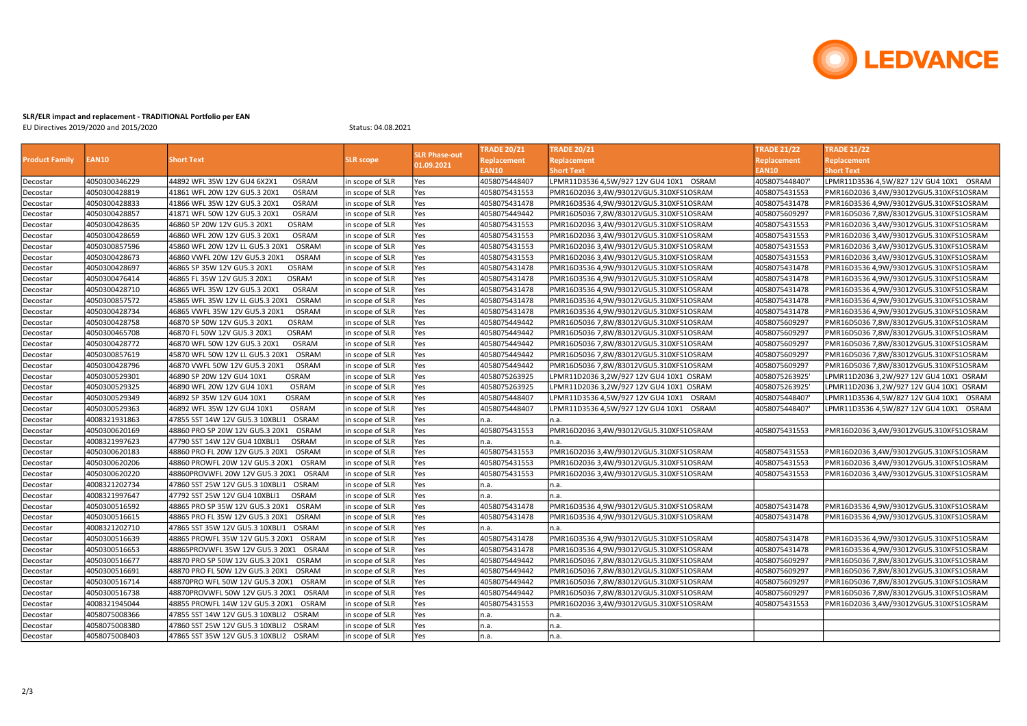

## SLR/ELR impact and replacement - TRADITIONAL Portfolio per EAN

EU Directives 2019/2020 and 2015/2020 Status: 04.08.2021

| <b>Product Family</b> | EAN10         | <b>Short Text</b>                               | <b>SLR</b> scope | <b>SLR Phase-out</b><br>01.09.2021 | <b>TRADE 20/21</b> | <b>TRADE 20/21</b>                      | <b>TRADE 21/22</b> | <b>TRADE 21/22</b>                         |
|-----------------------|---------------|-------------------------------------------------|------------------|------------------------------------|--------------------|-----------------------------------------|--------------------|--------------------------------------------|
|                       |               |                                                 |                  |                                    | Replacement        | Replacement                             | Replacement        | Replacement                                |
|                       |               |                                                 |                  |                                    | EAN10              | <b>Short Text</b>                       | EAN10              | Short Text                                 |
| Decostar              | 4050300346229 | 44892 WFL 35W 12V GU4 6X2X1<br><b>OSRAM</b>     | in scope of SLR  | <b>Yes</b>                         | 4058075448407      | LPMR11D3536 4,5W/927 12V GU4 10X1 OSRAM | 4058075448407      | LPMR11D3536 4,5W/827 12V GU4 10X1 OSRAM    |
| Decostar              | 4050300428819 | <b>OSRAM</b><br>41861 WFL 20W 12V GU5.3 20X1    | in scope of SLR  | Yes                                | 4058075431553      | PMR16D2036 3,4W/93012VGU5.310XFS1OSRAM  | 4058075431553      | PMR16D2036 3,4W/93012VGU5.310XFS1OSRAM     |
| Decostar              | 4050300428833 | 41866 WFL 35W 12V GU5.3 20X1<br>OSRAM           | in scope of SLR  | Yes                                | 4058075431478      | PMR16D3536 4,9W/93012VGU5.310XFS1OSRAM  | 4058075431478      | PMR16D3536 4,9W/93012VGU5.310XFS1OSRAM     |
| Decostar              | 4050300428857 | <b>OSRAM</b><br>41871 WFL 50W 12V GU5.3 20X1    | in scope of SLR  | Yes                                | 4058075449442      |                                         | 4058075609297      | PMR16D5036 7,8W/83012VGU5.310XFS1OSRAM     |
| Decostar              | 4050300428635 | <b>OSRAM</b><br>46860 SP 20W 12V GU5.3 20X1     | in scope of SLR  | Yes                                | 4058075431553      | PMR16D2036 3,4W/93012VGU5.310XFS1OSRAM  | 4058075431553      | PMR16D2036 3,4W/93012VGU5.310XFS1OSRAM     |
| Decostar              | 4050300428659 | OSRAM<br>46860 WFL 20W 12V GU5.3 20X1           | in scope of SLR  | Yes                                | 4058075431553      | PMR16D2036 3,4W/93012VGU5.310XFS1OSRAM  | 4058075431553      | PMR16D2036 3,4W/93012VGU5.310XFS1OSRAM     |
| Decostar              | 4050300857596 | 45860 WFL 20W 12V LL GU5.3 20X1<br>OSRAM        | in scope of SLR  | Yes                                | 4058075431553      | PMR16D2036 3,4W/93012VGU5.310XFS1OSRAM  | 4058075431553      | PMR16D2036 3,4W/93012VGU5.310XFS1OSRAM     |
| Decostar              | 4050300428673 | OSRAM<br>46860 VWFL 20W 12V GU5.3 20X1          | in scope of SLR  | Yes                                | 4058075431553      | PMR16D2036 3,4W/93012VGU5.310XFS1OSRAM  | 4058075431553      | PMR16D2036 3,4W/93012VGU5.310XFS1OSRAM     |
| Decostar              | 4050300428697 | <b>OSRAM</b><br>46865 SP 35W 12V GU5.3 20X1     | in scope of SLR  | <b>Yes</b>                         | 4058075431478      | PMR16D3536 4,9W/93012VGU5.310XFS1OSRAM  | 4058075431478      | PMR16D3536 4,9W/93012VGU5.310XFS1OSRAM     |
| Decostar              | 4050300476414 | OSRAM<br>46865 FL 35W 12V GU5.3 20X1            | in scope of SLR  | Yes                                | 4058075431478      | PMR16D3536 4,9W/93012VGU5.310XFS1OSRAM  | 4058075431478      |                                            |
| Decostar              | 4050300428710 | OSRAM<br>46865 WFL 35W 12V GU5.3 20X1           | in scope of SLR  | Yes                                | 4058075431478      | PMR16D3536 4,9W/93012VGU5.310XFS1OSRAM  | 4058075431478      | PMR16D3536 4,9W/93012VGU5.310XFS1OSRAM     |
| Decostar              | 4050300857572 | OSRAM<br>45865 WFL 35W 12V LL GU5.3 20X1        | in scope of SLR  | Yes                                | 4058075431478      | PMR16D3536 4,9W/93012VGU5.310XFS1OSRAM  | 4058075431478      | PMR16D3536 4,9W/93012VGU5.310XFS1OSRAM     |
| Decostar              | 4050300428734 | 46865 VWFL 35W 12V GU5.3 20X1<br><b>OSRAM</b>   | in scope of SLR  | Yes                                | 4058075431478      | PMR16D3536 4,9W/93012VGU5.310XFS1OSRAM  | 4058075431478      | PMR16D3536 4,9W/93012VGU5.310XFS1OSRAM     |
| Decostar              | 4050300428758 | <b>OSRAM</b><br>46870 SP 50W 12V GU5.3 20X1     | in scope of SLR  | Yes                                | 4058075449442      | PMR16D5036 7,8W/83012VGU5.310XFS1OSRAM  | 4058075609297      | PMR16D5036 7,8W/83012VGU5.310XFS1OSRAM     |
| Decostar              | 4050300465708 | OSRAM<br>46870 FL 50W 12V GU5.3 20X1            | in scope of SLR  | Yes                                | 4058075449442      | PMR16D5036 7,8W/83012VGU5.310XFS1OSRAM  | 4058075609297      | PMR16D5036 7,8W/83012VGU5.310XFS1OSRAM     |
| Decostar              | 4050300428772 | <b>OSRAM</b><br>46870 WFL 50W 12V GU5.3 20X1    | in scope of SLR  | Yes                                | 4058075449442      | PMR16D5036 7,8W/83012VGU5.310XFS1OSRAM  | 4058075609297      | PMR16D5036 7,8W/83012VGU5.310XFS1OSRAM     |
| Decostar              | 4050300857619 | 45870 WFL 50W 12V LL GU5.3 20X1<br>OSRAM        | in scope of SLR  | Yes                                | 4058075449442      | PMR16D5036 7,8W/83012VGU5.310XFS1OSRAM  | 4058075609297      | PMR16D5036 7,8W/83012VGU5.310XFS1OSRAM     |
| Decostar              | 4050300428796 | 46870 VWFL 50W 12V GU5.3 20X1<br><b>OSRAM</b>   | in scope of SLR  | Yes                                | 4058075449442      | PMR16D5036 7,8W/83012VGU5.310XFS1OSRAM  | 4058075609297      | PMR16D5036 7,8W/83012VGU5.310XFS1OSRAM     |
| Decostar              | 4050300529301 | <b>OSRAM</b><br>46890 SP 20W 12V GU4 10X1       | in scope of SLR  | Yes                                | 4058075263925      | LPMR11D2036 3,2W/927 12V GU4 10X1 OSRAM | 4058075263925      | LPMR11D2036 3,2W/927 12V GU4 10X1 OSRAM    |
| Decostar              | 4050300529325 | OSRAM<br>46890 WFL 20W 12V GU4 10X1             | in scope of SLR  | Yes                                | 4058075263925      | LPMR11D2036 3,2W/927 12V GU4 10X1 OSRAM | 4058075263925      | LPMR11D2036 3,2W/927 12V GU4 10X1 OSRAM    |
| Decostar              | 4050300529349 | <b>OSRAM</b><br>46892 SP 35W 12V GU4 10X1       | in scope of SLR  | Yes                                | 4058075448407      | LPMR11D3536 4,5W/927 12V GU4 10X1 OSRAM | 4058075448407      | LPMR11D3536 4,5W/827 12V GU4 10X1 OSRAM    |
| Decostar              | 4050300529363 | <b>OSRAM</b><br>46892 WFL 35W 12V GU4 10X1      | in scope of SLR  | Yes                                | 4058075448407      | LPMR11D3536 4,5W/927 12V GU4 10X1 OSRAM | 4058075448407      | OSRAM<br>LPMR11D3536 4,5W/827 12V GU4 10X1 |
| Decostar              | 4008321931863 | <b>OSRAM</b><br>47855 SST 14W 12V GU5.3 10XBLI1 | in scope of SLR  | Yes                                | n.a.               | In.a.                                   |                    |                                            |
| Decostar              | 4050300620169 | OSRAM<br>48860 PRO SP 20W 12V GU5.3 20X1        | in scope of SLR  | Yes                                | 4058075431553      | PMR16D2036 3,4W/93012VGU5.310XFS1OSRAM  | 4058075431553      | PMR16D2036 3,4W/93012VGU5.310XFS1OSRAM     |
| Decostar              | 4008321997623 | <b>OSRAM</b><br>47790 SST 14W 12V GU4 10XBLI1   | in scope of SLR  | Yes                                | n.a.               | ln.a.                                   |                    |                                            |
| Decostar              | 4050300620183 | OSRAM<br>48860 PRO FL 20W 12V GU5.3 20X1        | in scope of SLR  | Yes                                | 4058075431553      | PMR16D2036 3,4W/93012VGU5.310XFS1OSRAM  | 4058075431553      | PMR16D2036 3,4W/93012VGU5.310XFS1OSRAM     |
| Decostar              | 4050300620206 | 48860 PROWFL 20W 12V GU5.3 20X1<br>OSRAM        | in scope of SLR  | Yes                                | 4058075431553      | PMR16D2036 3,4W/93012VGU5.310XFS1OSRAM  | 4058075431553      | PMR16D2036 3,4W/93012VGU5.310XFS1OSRAM     |
| Decostar              | 4050300620220 | 48860PROVWFL 20W 12V GU5.3 20X1 OSRAM           | in scope of SLR  | Yes                                | 4058075431553      | PMR16D2036 3,4W/93012VGU5.310XFS1OSRAM  | 4058075431553      | PMR16D2036 3,4W/93012VGU5.310XFS1OSRAM     |
| Decostar              | 4008321202734 | 47860 SST 25W 12V GU5.3 10XBLI1 OSRAM           | in scope of SLR  | Yes                                | n.a.               | n.a.                                    |                    |                                            |
| Decostar              | 4008321997647 | <b>OSRAM</b><br>47792 SST 25W 12V GU4 10XBLI1   | in scope of SLR  | Yes                                | n.a.               | ln.a.                                   |                    |                                            |
| Decostar              | 4050300516592 | OSRAM<br>48865 PRO SP 35W 12V GU5.3 20X1        | in scope of SLR  | Yes                                | 4058075431478      | PMR16D3536 4,9W/93012VGU5.310XFS1OSRAM  | 4058075431478      | PMR16D3536 4,9W/93012VGU5.310XFS1OSRAM     |
| Decostar              | 4050300516615 | OSRAM<br>48865 PRO FL 35W 12V GU5.3 20X1        | in scope of SLR  | Yes                                | 4058075431478      | PMR16D3536 4,9W/93012VGU5.310XFS1OSRAM  | 4058075431478      | PMR16D3536 4,9W/93012VGU5.310XFS1OSRAM     |
| Decostar              | 4008321202710 | 47865 SST 35W 12V GU5.3 10XBLI1 OSRAM           | in scope of SLR  | <b>Yes</b>                         | n.a.               | n.a.                                    |                    |                                            |
| Decostar              | 4050300516639 | 48865 PROWFL 35W 12V GU5.3 20X1 OSRAM           | in scope of SLR  | Yes                                | 4058075431478      | PMR16D3536 4,9W/93012VGU5.310XFS1OSRAM  | 4058075431478      | PMR16D3536 4,9W/93012VGU5.310XFS1OSRAM     |
| Decostar              | 4050300516653 | 48865PROVWFL 35W 12V GU5.3 20X1 OSRAM           | in scope of SLR  | Yes                                | 4058075431478      | PMR16D3536 4,9W/93012VGU5.310XFS1OSRAM  | 4058075431478      | PMR16D3536 4,9W/93012VGU5.310XFS1OSRAM     |
| Decostar              | 4050300516677 | 48870 PRO SP 50W 12V GU5.3 20X1<br>OSRAM        | in scope of SLR  | Yes                                | 4058075449442      |                                         | 4058075609297      | PMR16D5036 7,8W/83012VGU5.310XFS1OSRAM     |
| Decostar              | 4050300516691 | 48870 PRO FL 50W 12V GU5.3 20X1 OSRAM           | in scope of SLR  | <b>Yes</b>                         | 4058075449442      | PMR16D5036 7,8W/83012VGU5.310XFS1OSRAM  | 4058075609297      | PMR16D5036 7,8W/83012VGU5.310XFS1OSRAM     |
| Decostar              | 4050300516714 | OSRAM<br>48870PRO WFL 50W 12V GU5.3 20X1        | in scope of SLR  | Yes                                | 4058075449442      | PMR16D5036 7,8W/83012VGU5.310XFS1OSRAM  | 4058075609297      | PMR16D5036 7,8W/83012VGU5.310XFS1OSRAM     |
| Decostar              | 4050300516738 | <b>OSRAM</b><br>48870PROVWFL 50W 12V GU5.3 20X1 | in scope of SLR  | Yes                                | 4058075449442      |                                         | 4058075609297      | PMR16D5036 7,8W/83012VGU5.310XFS1OSRAM     |
| Decostar              | 4008321945044 | 48855 PROWFL 14W 12V GU5.3 20X1 OSRAM           | in scope of SLR  | Yes                                | 4058075431553      | PMR16D2036 3,4W/93012VGU5.310XFS1OSRAM  | 4058075431553      | PMR16D2036 3,4W/93012VGU5.310XFS1OSRAM     |
| Decostar              | 4058075008366 | 47855 SST 14W 12V GU5.3 10XBLI2 OSRAM           | in scope of SLR  | Yes                                | n.a.               | n.a.                                    |                    |                                            |
| Decostar              | 4058075008380 | 47860 SST 25W 12V GU5.3 10XBLI2 OSRAM           | in scope of SLR  | Yes                                | n.a.               | In.a.                                   |                    |                                            |
| Decostar              | 4058075008403 | 47865 SST 35W 12V GU5.3 10XBLI2 OSRAM           | in scope of SLR  | <b>Yes</b>                         | n.a.               | In.a.                                   |                    |                                            |